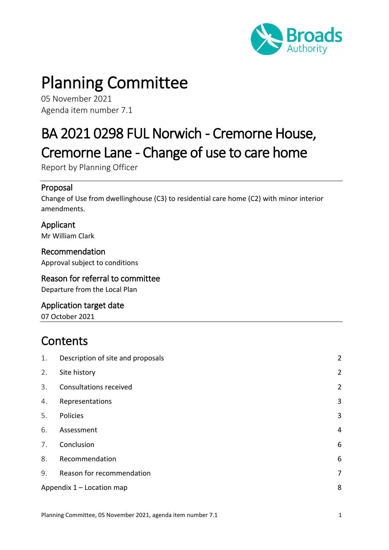

# Planning Committee

05 November 2021 Agenda item number 7.1

## BA 2021 0298 FUL Norwich - Cremorne House, Cremorne Lane - Change of use to care home

Report by Planning Officer

#### Proposal

Change of Use from dwellinghouse (C3) to residential care home (C2) with minor interior amendments.

Applicant Mr William Clark

Recommendation Approval subject to conditions

#### Reason for referral to committee Departure from the Local Plan

Application target date 07 October 2021

## **Contents**

| 1. | Description of site and proposals | $\overline{2}$ |
|----|-----------------------------------|----------------|
| 2. | Site history                      | $\overline{2}$ |
| 3. | <b>Consultations received</b>     | $\overline{2}$ |
| 4. | Representations                   | 3              |
| 5. | Policies                          | 3              |
| 6. | Assessment                        | 4              |
| 7. | Conclusion                        | 6              |
| 8. | Recommendation                    | 6              |
| 9. | Reason for recommendation         | 7              |
|    | Appendix 1 - Location map         |                |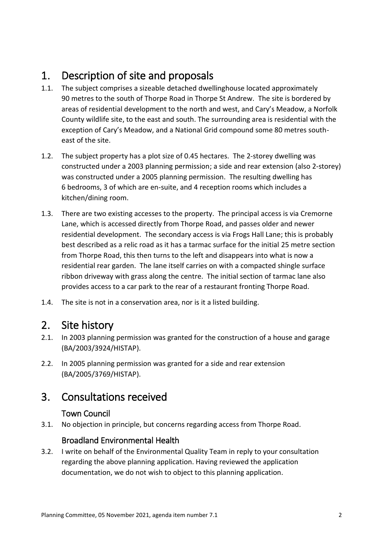## <span id="page-1-0"></span>1. Description of site and proposals

- 1.1. The subject comprises a sizeable detached dwellinghouse located approximately 90 metres to the south of Thorpe Road in Thorpe St Andrew. The site is bordered by areas of residential development to the north and west, and Cary's Meadow, a Norfolk County wildlife site, to the east and south. The surrounding area is residential with the exception of Cary's Meadow, and a National Grid compound some 80 metres southeast of the site.
- 1.2. The subject property has a plot size of 0.45 hectares. The 2-storey dwelling was constructed under a 2003 planning permission; a side and rear extension (also 2-storey) was constructed under a 2005 planning permission. The resulting dwelling has 6 bedrooms, 3 of which are en-suite, and 4 reception rooms which includes a kitchen/dining room.
- 1.3. There are two existing accesses to the property. The principal access is via Cremorne Lane, which is accessed directly from Thorpe Road, and passes older and newer residential development. The secondary access is via Frogs Hall Lane; this is probably best described as a relic road as it has a tarmac surface for the initial 25 metre section from Thorpe Road, this then turns to the left and disappears into what is now a residential rear garden. The lane itself carries on with a compacted shingle surface ribbon driveway with grass along the centre. The initial section of tarmac lane also provides access to a car park to the rear of a restaurant fronting Thorpe Road.
- 1.4. The site is not in a conservation area, nor is it a listed building.

## <span id="page-1-1"></span>2. Site history

- 2.1. In 2003 planning permission was granted for the construction of a house and garage (BA/2003/3924/HISTAP).
- 2.2. In 2005 planning permission was granted for a side and rear extension (BA/2005/3769/HISTAP).

## <span id="page-1-2"></span>3. Consultations received

#### Town Council

3.1. No objection in principle, but concerns regarding access from Thorpe Road.

#### Broadland Environmental Health

3.2. I write on behalf of the Environmental Quality Team in reply to your consultation regarding the above planning application. Having reviewed the application documentation, we do not wish to object to this planning application.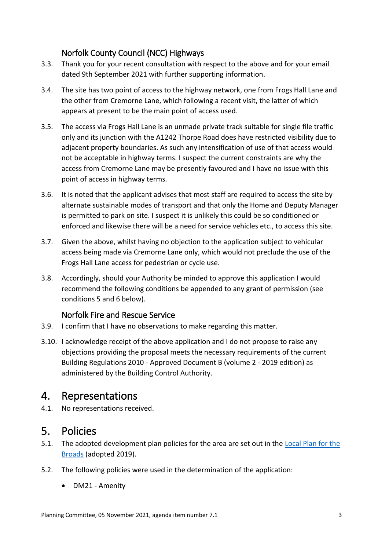#### Norfolk County Council (NCC) Highways

- 3.3. Thank you for your recent consultation with respect to the above and for your email dated 9th September 2021 with further supporting information.
- 3.4. The site has two point of access to the highway network, one from Frogs Hall Lane and the other from Cremorne Lane, which following a recent visit, the latter of which appears at present to be the main point of access used.
- 3.5. The access via Frogs Hall Lane is an unmade private track suitable for single file traffic only and its junction with the A1242 Thorpe Road does have restricted visibility due to adjacent property boundaries. As such any intensification of use of that access would not be acceptable in highway terms. I suspect the current constraints are why the access from Cremorne Lane may be presently favoured and I have no issue with this point of access in highway terms.
- 3.6. It is noted that the applicant advises that most staff are required to access the site by alternate sustainable modes of transport and that only the Home and Deputy Manager is permitted to park on site. I suspect it is unlikely this could be so conditioned or enforced and likewise there will be a need for service vehicles etc., to access this site.
- 3.7. Given the above, whilst having no objection to the application subject to vehicular access being made via Cremorne Lane only, which would not preclude the use of the Frogs Hall Lane access for pedestrian or cycle use.
- 3.8. Accordingly, should your Authority be minded to approve this application I would recommend the following conditions be appended to any grant of permission (see conditions 5 and 6 below).

#### Norfolk Fire and Rescue Service

- 3.9. I confirm that I have no observations to make regarding this matter.
- 3.10. I acknowledge receipt of the above application and I do not propose to raise any objections providing the proposal meets the necessary requirements of the current Building Regulations 2010 - Approved Document B (volume 2 - 2019 edition) as administered by the Building Control Authority.

## <span id="page-2-0"></span>4. Representations

4.1. No representations received.

## <span id="page-2-1"></span>5. Policies

- 5.1. The adopted development plan policies for the area are set out in the Local Plan for the [Broads](https://www.broads-authority.gov.uk/planning/planning-policies/development) (adopted 2019).
- 5.2. The following policies were used in the determination of the application:
	- DM21 Amenity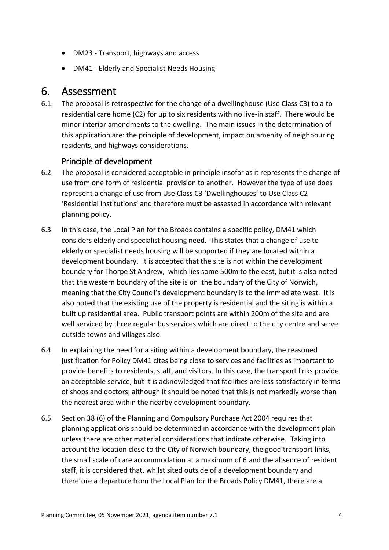- DM23 Transport, highways and access
- DM41 Elderly and Specialist Needs Housing

## <span id="page-3-0"></span>6. Assessment

6.1. The proposal is retrospective for the change of a dwellinghouse (Use Class C3) to a to residential care home (C2) for up to six residents with no live-in staff. There would be minor interior amendments to the dwelling. The main issues in the determination of this application are: the principle of development, impact on amenity of neighbouring residents, and highways considerations.

#### Principle of development

- 6.2. The proposal is considered acceptable in principle insofar as it represents the change of use from one form of residential provision to another. However the type of use does represent a change of use from Use Class C3 'Dwellinghouses' to Use Class C2 'Residential institutions' and therefore must be assessed in accordance with relevant planning policy.
- 6.3. In this case, the Local Plan for the Broads contains a specific policy, DM41 which considers elderly and specialist housing need. This states that a change of use to elderly or specialist needs housing will be supported if they are located within a development boundary. It is accepted that the site is not within the development boundary for Thorpe St Andrew, which lies some 500m to the east, but it is also noted that the western boundary of the site is on the boundary of the City of Norwich, meaning that the City Council's development boundary is to the immediate west. It is also noted that the existing use of the property is residential and the siting is within a built up residential area. Public transport points are within 200m of the site and are well serviced by three regular bus services which are direct to the city centre and serve outside towns and villages also.
- 6.4. In explaining the need for a siting within a development boundary, the reasoned justification for Policy DM41 cites being close to services and facilities as important to provide benefits to residents, staff, and visitors. In this case, the transport links provide an acceptable service, but it is acknowledged that facilities are less satisfactory in terms of shops and doctors, although it should be noted that this is not markedly worse than the nearest area within the nearby development boundary.
- 6.5. Section 38 (6) of the Planning and Compulsory Purchase Act 2004 requires that planning applications should be determined in accordance with the development plan unless there are other material considerations that indicate otherwise. Taking into account the location close to the City of Norwich boundary, the good transport links, the small scale of care accommodation at a maximum of 6 and the absence of resident staff, it is considered that, whilst sited outside of a development boundary and therefore a departure from the Local Plan for the Broads Policy DM41, there are a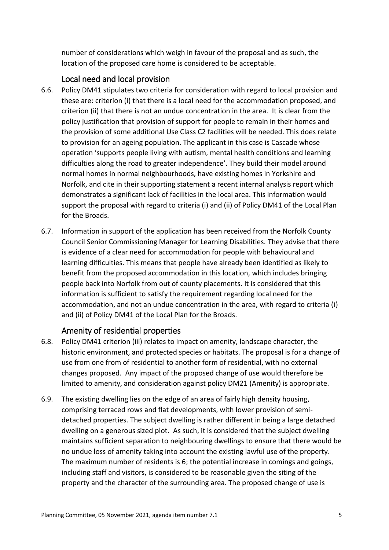number of considerations which weigh in favour of the proposal and as such, the location of the proposed care home is considered to be acceptable.

#### Local need and local provision

- 6.6. Policy DM41 stipulates two criteria for consideration with regard to local provision and these are: criterion (i) that there is a local need for the accommodation proposed, and criterion (ii) that there is not an undue concentration in the area. It is clear from the policy justification that provision of support for people to remain in their homes and the provision of some additional Use Class C2 facilities will be needed. This does relate to provision for an ageing population. The applicant in this case is Cascade whose operation 'supports people living with autism, mental health conditions and learning difficulties along the road to greater independence'. They build their model around normal homes in normal neighbourhoods, have existing homes in Yorkshire and Norfolk, and cite in their supporting statement a recent internal analysis report which demonstrates a significant lack of facilities in the local area. This information would support the proposal with regard to criteria (i) and (ii) of Policy DM41 of the Local Plan for the Broads.
- 6.7. Information in support of the application has been received from the Norfolk County Council Senior Commissioning Manager for Learning Disabilities. They advise that there is evidence of a clear need for accommodation for people with behavioural and learning difficulties. This means that people have already been identified as likely to benefit from the proposed accommodation in this location, which includes bringing people back into Norfolk from out of county placements. It is considered that this information is sufficient to satisfy the requirement regarding local need for the accommodation, and not an undue concentration in the area, with regard to criteria (i) and (ii) of Policy DM41 of the Local Plan for the Broads.

#### Amenity of residential properties

- 6.8. Policy DM41 criterion (iii) relates to impact on amenity, landscape character, the historic environment, and protected species or habitats. The proposal is for a change of use from one from of residential to another form of residential, with no external changes proposed. Any impact of the proposed change of use would therefore be limited to amenity, and consideration against policy DM21 (Amenity) is appropriate.
- 6.9. The existing dwelling lies on the edge of an area of fairly high density housing, comprising terraced rows and flat developments, with lower provision of semidetached properties. The subject dwelling is rather different in being a large detached dwelling on a generous sized plot. As such, it is considered that the subject dwelling maintains sufficient separation to neighbouring dwellings to ensure that there would be no undue loss of amenity taking into account the existing lawful use of the property. The maximum number of residents is 6; the potential increase in comings and goings, including staff and visitors, is considered to be reasonable given the siting of the property and the character of the surrounding area. The proposed change of use is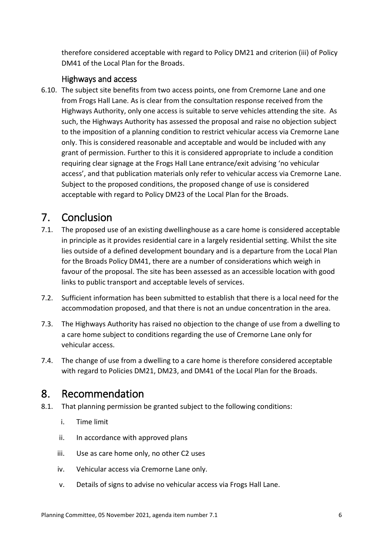therefore considered acceptable with regard to Policy DM21 and criterion (iii) of Policy DM41 of the Local Plan for the Broads.

#### Highways and access

6.10. The subject site benefits from two access points, one from Cremorne Lane and one from Frogs Hall Lane. As is clear from the consultation response received from the Highways Authority, only one access is suitable to serve vehicles attending the site. As such, the Highways Authority has assessed the proposal and raise no objection subject to the imposition of a planning condition to restrict vehicular access via Cremorne Lane only. This is considered reasonable and acceptable and would be included with any grant of permission. Further to this it is considered appropriate to include a condition requiring clear signage at the Frogs Hall Lane entrance/exit advising 'no vehicular access', and that publication materials only refer to vehicular access via Cremorne Lane. Subject to the proposed conditions, the proposed change of use is considered acceptable with regard to Policy DM23 of the Local Plan for the Broads.

## <span id="page-5-0"></span>7. Conclusion

- 7.1. The proposed use of an existing dwellinghouse as a care home is considered acceptable in principle as it provides residential care in a largely residential setting. Whilst the site lies outside of a defined development boundary and is a departure from the Local Plan for the Broads Policy DM41, there are a number of considerations which weigh in favour of the proposal. The site has been assessed as an accessible location with good links to public transport and acceptable levels of services.
- 7.2. Sufficient information has been submitted to establish that there is a local need for the accommodation proposed, and that there is not an undue concentration in the area.
- 7.3. The Highways Authority has raised no objection to the change of use from a dwelling to a care home subject to conditions regarding the use of Cremorne Lane only for vehicular access.
- 7.4. The change of use from a dwelling to a care home is therefore considered acceptable with regard to Policies DM21, DM23, and DM41 of the Local Plan for the Broads.

## <span id="page-5-1"></span>8. Recommendation

- 8.1. That planning permission be granted subject to the following conditions:
	- i. Time limit
	- ii. In accordance with approved plans
	- iii. Use as care home only, no other C2 uses
	- iv. Vehicular access via Cremorne Lane only.
	- v. Details of signs to advise no vehicular access via Frogs Hall Lane.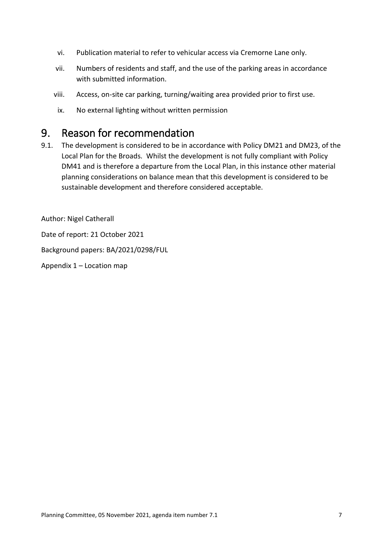- vi. Publication material to refer to vehicular access via Cremorne Lane only.
- vii. Numbers of residents and staff, and the use of the parking areas in accordance with submitted information.
- viii. Access, on-site car parking, turning/waiting area provided prior to first use.
- ix. No external lighting without written permission

## <span id="page-6-0"></span>9. Reason for recommendation

9.1. The development is considered to be in accordance with Policy DM21 and DM23, of the Local Plan for the Broads. Whilst the development is not fully compliant with Policy DM41 and is therefore a departure from the Local Plan, in this instance other material planning considerations on balance mean that this development is considered to be sustainable development and therefore considered acceptable.

Author: Nigel Catherall

Date of report: 21 October 2021

Background papers: BA/2021/0298/FUL

Appendix 1 – Location map